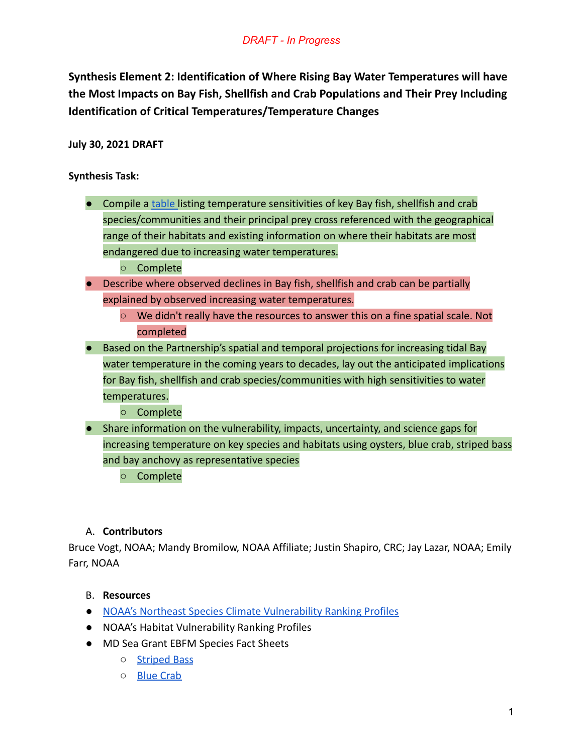**Synthesis Element 2: Identification of Where Rising Bay Water Temperatures will have the Most Impacts on Bay Fish, Shellfish and Crab Populations and Their Prey Including Identification of Critical Temperatures/Temperature Changes**

**July 30, 2021 DRAFT**

**Synthesis Task:**

- Compile a [table](https://docs.google.com/spreadsheets/d/1BlIjYut_6rpIMT4Yvp8jnzAaorRwGjO--VKJdtst_ag/edit#gid=0) listing temperature sensitivities of key Bay fish, shellfish and crab species/communities and their principal prey cross referenced with the geographical range of their habitats and existing information on where their habitats are most endangered due to increasing water temperatures.
	- Complete
- Describe where observed declines in Bay fish, shellfish and crab can be partially explained by observed increasing water temperatures.
	- We didn't really have the resources to answer this on a fine spatial scale. Not completed
- Based on the Partnership's spatial and temporal projections for increasing tidal Bay water temperature in the coming years to decades, lay out the anticipated implications for Bay fish, shellfish and crab species/communities with high sensitivities to water temperatures.
	- Complete
- Share information on the vulnerability, impacts, uncertainty, and science gaps for increasing temperature on key species and habitats using oysters, blue crab, striped bass and bay anchovy as representative species
	- Complete

# A. **Contributors**

Bruce Vogt, NOAA; Mandy Bromilow, NOAA Affiliate; Justin Shapiro, CRC; Jay Lazar, NOAA; Emily Farr, NOAA

## B. **Resources**

- [NOAA's Northeast Species Climate Vulnerability Ranking](https://www.st.nmfs.noaa.gov/data-and-tools/northeast-fish-and-shellfish-climate-vulnerability/index) Profiles
- NOAA's Habitat Vulnerability Ranking Profiles
- MD Sea Grant EBFM Species Fact Sheets
	- [Striped Bass](https://www.mdsg.umd.edu/sites/default/files/2019-12/EBFM-Striped-Bass-Summary-1.pdf)
	- [Blue Crab](https://www.mdsg.umd.edu/sites/default/files/2019-12/EBFM-Blue-Crab-Summary.pdf)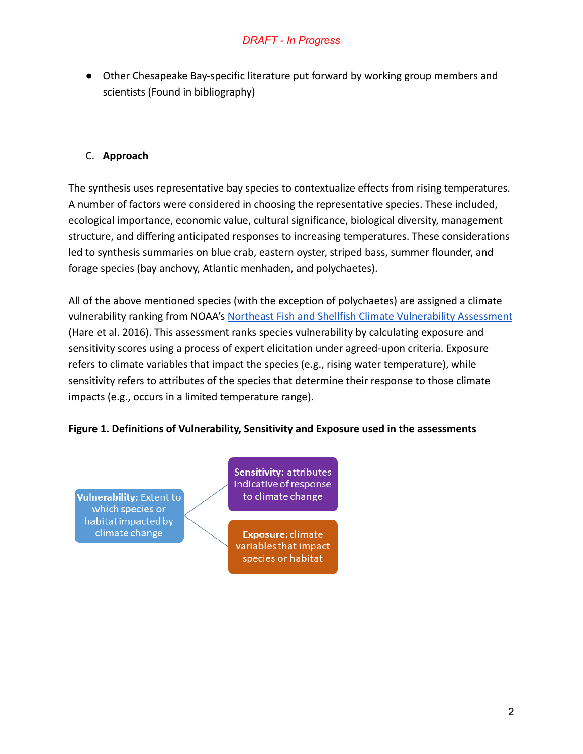● Other Chesapeake Bay-specific literature put forward by working group members and scientists (Found in bibliography)

# C. **Approach**

The synthesis uses representative bay species to contextualize effects from rising temperatures. A number of factors were considered in choosing the representative species. These included, ecological importance, economic value, cultural significance, biological diversity, management structure, and differing anticipated responses to increasing temperatures. These considerations led to synthesis summaries on blue crab, eastern oyster, striped bass, summer flounder, and forage species (bay anchovy, Atlantic menhaden, and polychaetes).

All of the above mentioned species (with the exception of polychaetes) are assigned a climate vulnerability ranking from NOAA's Northeast Fish and [Shellfish Climate Vulnerability Assessment](https://www.fisheries.noaa.gov/new-england-mid-atlantic/climate/northeast-vulnerability-assessment) (Hare et al. 2016). This assessment ranks species vulnerability by calculating exposure and sensitivity scores using a process of expert elicitation under agreed-upon criteria. Exposure refers to climate variables that impact the species (e.g., rising water temperature), while sensitivity refers to attributes of the species that determine their response to those climate impacts (e.g., occurs in a limited temperature range).

## **Figure 1. Definitions of Vulnerability, Sensitivity and Exposure used in the assessments**

**Vulnerability: Extent to** which species or habitat impacted by climate change

Sensitivity: attributes indicative of response to climate change

Exposure: climate variables that impact species or habitat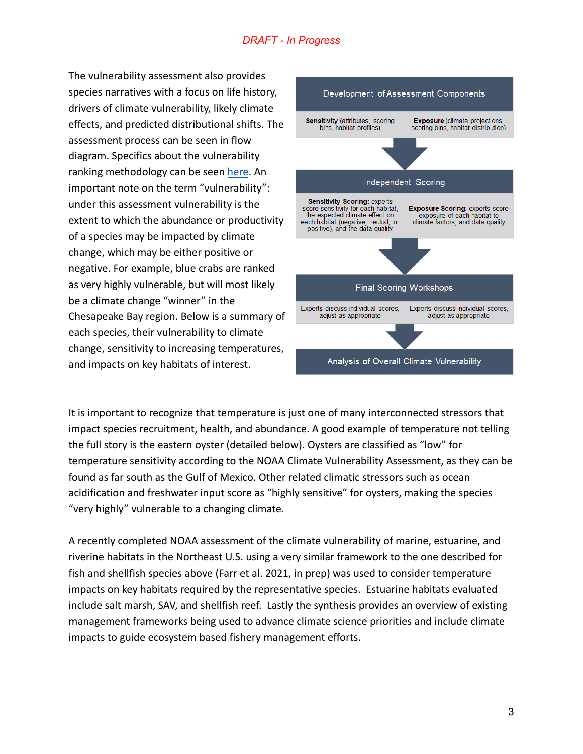The vulnerability assessment also provides species narratives with a focus on life history, drivers of climate vulnerability, likely climate effects, and predicted distributional shifts. The assessment process can be seen in flow diagram. Specifics about the vulnerability ranking methodology can be seen [here](https://www.st.nmfs.noaa.gov/Assets/ecosystems/climate/documents/TM%20OSF3.pdf). An important note on the term "vulnerability": under this assessment vulnerability is the extent to which the abundance or productivity of a species may be impacted by climate change, which may be either positive or negative. For example, blue crabs are ranked as very highly vulnerable, but will most likely be a climate change "winner" in the Chesapeake Bay region. Below is a summary of each species, their vulnerability to climate change, sensitivity to increasing temperatures, and impacts on key habitats of interest.



It is important to recognize that temperature is just one of many interconnected stressors that impact species recruitment, health, and abundance. A good example of temperature not telling the full story is the eastern oyster (detailed below). Oysters are classified as "low" for temperature sensitivity according to the NOAA Climate Vulnerability Assessment, as they can be found as far south as the Gulf of Mexico. Other related climatic stressors such as ocean acidification and freshwater input score as "highly sensitive" for oysters, making the species "very highly" vulnerable to a changing climate.

A recently completed NOAA assessment of the climate vulnerability of marine, estuarine, and riverine habitats in the Northeast U.S. using a very similar framework to the one described for fish and shellfish species above (Farr et al. 2021, in prep) was used to consider temperature impacts on key habitats required by the representative species. Estuarine habitats evaluated include salt marsh, SAV, and shellfish reef. Lastly the synthesis provides an overview of existing management frameworks being used to advance climate science priorities and include climate impacts to guide ecosystem based fishery management efforts.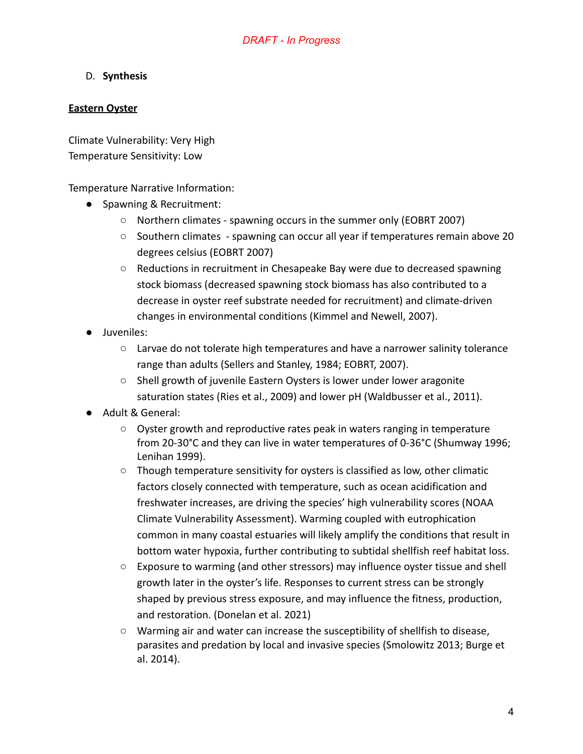## D. **Synthesis**

#### **Eastern Oyster**

Climate Vulnerability: Very High Temperature Sensitivity: Low

Temperature Narrative Information:

- Spawning & Recruitment:
	- Northern climates spawning occurs in the summer only (EOBRT 2007)
	- Southern climates spawning can occur all year if temperatures remain above 20 degrees celsius (EOBRT 2007)
	- Reductions in recruitment in Chesapeake Bay were due to decreased spawning stock biomass (decreased spawning stock biomass has also contributed to a decrease in oyster reef substrate needed for recruitment) and climate-driven changes in environmental conditions (Kimmel and Newell, 2007).
- Juveniles:
	- $\circ$  Larvae do not tolerate high temperatures and have a narrower salinity tolerance range than adults (Sellers and Stanley, 1984; EOBRT, 2007).
	- Shell growth of juvenile Eastern Oysters is lower under lower aragonite saturation states (Ries et al., 2009) and lower pH (Waldbusser et al., 2011).
- Adult & General:
	- Oyster growth and reproductive rates peak in waters ranging in temperature from 20-30°C and they can live in water temperatures of 0-36°C (Shumway 1996; Lenihan 1999).
	- Though temperature sensitivity for oysters is classified as low, other climatic factors closely connected with temperature, such as ocean acidification and freshwater increases, are driving the species' high vulnerability scores (NOAA Climate Vulnerability Assessment). Warming coupled with eutrophication common in many coastal estuaries will likely amplify the conditions that result in bottom water hypoxia, further contributing to subtidal shellfish reef habitat loss.
	- Exposure to warming (and other stressors) may influence oyster tissue and shell growth later in the oyster's life. Responses to current stress can be strongly shaped by previous stress exposure, and may influence the fitness, production, and restoration. (Donelan et al. 2021)
	- Warming air and water can increase the susceptibility of shellfish to disease, parasites and predation by local and invasive species (Smolowitz 2013; Burge et al. 2014).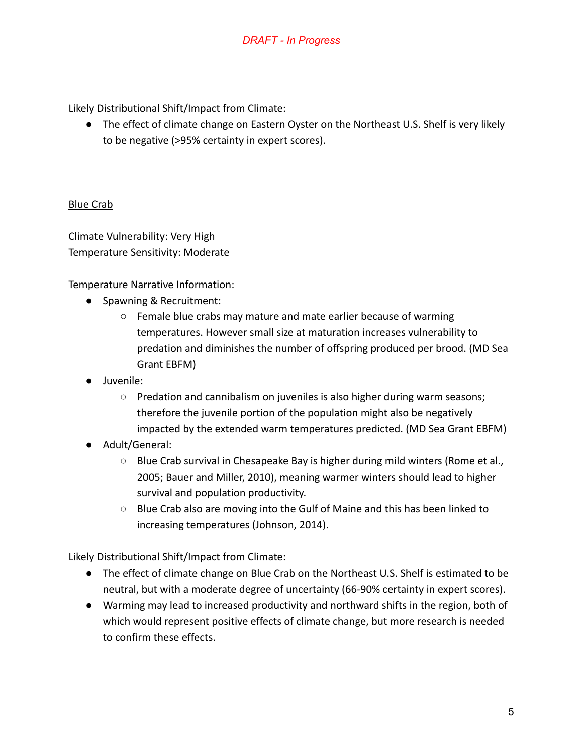Likely Distributional Shift/Impact from Climate:

● The effect of climate change on Eastern Oyster on the Northeast U.S. Shelf is very likely to be negative (>95% certainty in expert scores).

#### Blue Crab

Climate Vulnerability: Very High Temperature Sensitivity: Moderate

Temperature Narrative Information:

- Spawning & Recruitment:
	- $\circ$  Female blue crabs may mature and mate earlier because of warming temperatures. However small size at maturation increases vulnerability to predation and diminishes the number of offspring produced per brood. (MD Sea Grant EBFM)
- Juvenile:
	- Predation and cannibalism on juveniles is also higher during warm seasons; therefore the juvenile portion of the population might also be negatively impacted by the extended warm temperatures predicted. (MD Sea Grant EBFM)
- Adult/General:
	- $\circ$  Blue Crab survival in Chesapeake Bay is higher during mild winters (Rome et al., 2005; Bauer and Miller, 2010), meaning warmer winters should lead to higher survival and population productivity.
	- Blue Crab also are moving into the Gulf of Maine and this has been linked to increasing temperatures (Johnson, 2014).

Likely Distributional Shift/Impact from Climate:

- The effect of climate change on Blue Crab on the Northeast U.S. Shelf is estimated to be neutral, but with a moderate degree of uncertainty (66-90% certainty in expert scores).
- Warming may lead to increased productivity and northward shifts in the region, both of which would represent positive effects of climate change, but more research is needed to confirm these effects.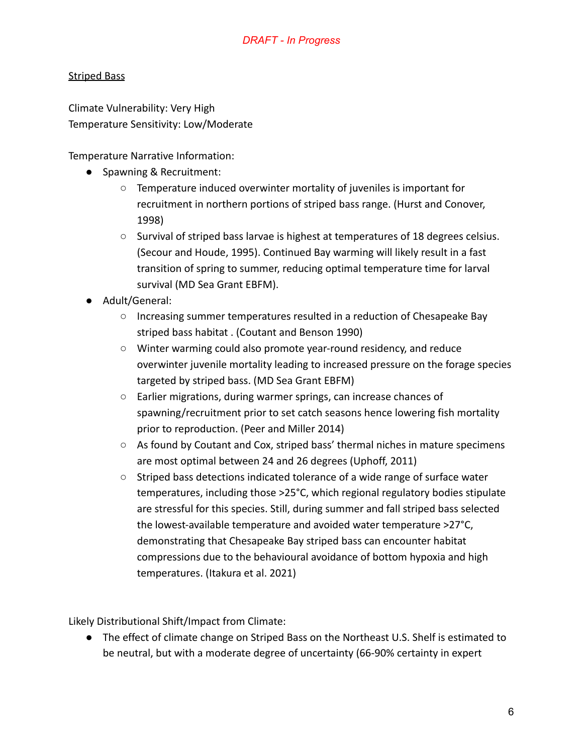# Striped Bass

Climate Vulnerability: Very High Temperature Sensitivity: Low/Moderate

Temperature Narrative Information:

- Spawning & Recruitment:
	- Temperature induced overwinter mortality of juveniles is important for recruitment in northern portions of striped bass range. (Hurst and Conover, 1998)
	- Survival of striped bass larvae is highest at temperatures of 18 degrees celsius. (Secour and Houde, 1995). Continued Bay warming will likely result in a fast transition of spring to summer, reducing optimal temperature time for larval survival (MD Sea Grant EBFM).
- Adult/General:
	- Increasing summer temperatures resulted in a reduction of Chesapeake Bay striped bass habitat . (Coutant and Benson 1990)
	- Winter warming could also promote year-round residency, and reduce overwinter juvenile mortality leading to increased pressure on the forage species targeted by striped bass. (MD Sea Grant EBFM)
	- Earlier migrations, during warmer springs, can increase chances of spawning/recruitment prior to set catch seasons hence lowering fish mortality prior to reproduction. (Peer and Miller 2014)
	- As found by Coutant and Cox, striped bass' thermal niches in mature specimens are most optimal between 24 and 26 degrees (Uphoff, 2011)
	- Striped bass detections indicated tolerance of a wide range of surface water temperatures, including those >25°C, which regional regulatory bodies stipulate are stressful for this species. Still, during summer and fall striped bass selected the lowest-available temperature and avoided water temperature >27°C, demonstrating that Chesapeake Bay striped bass can encounter habitat compressions due to the behavioural avoidance of bottom hypoxia and high temperatures. (Itakura et al. 2021)

Likely Distributional Shift/Impact from Climate:

● The effect of climate change on Striped Bass on the Northeast U.S. Shelf is estimated to be neutral, but with a moderate degree of uncertainty (66-90% certainty in expert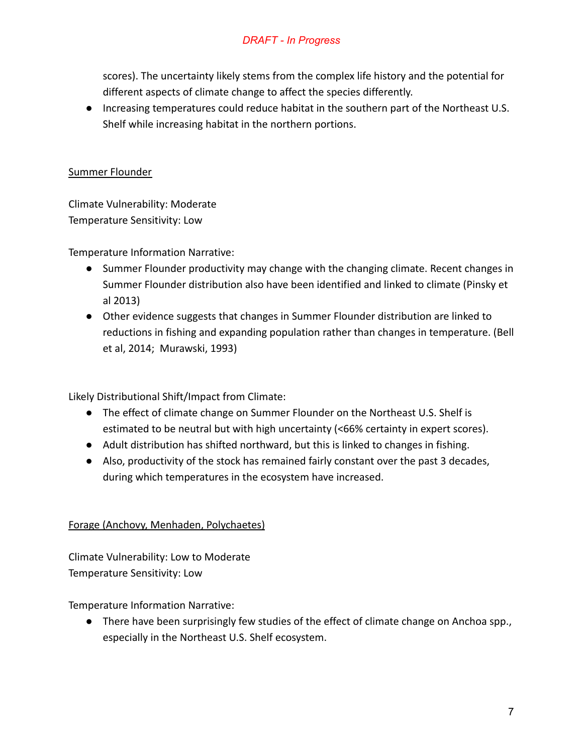scores). The uncertainty likely stems from the complex life history and the potential for different aspects of climate change to affect the species differently.

● Increasing temperatures could reduce habitat in the southern part of the Northeast U.S. Shelf while increasing habitat in the northern portions.

#### Summer Flounder

Climate Vulnerability: Moderate Temperature Sensitivity: Low

Temperature Information Narrative:

- Summer Flounder productivity may change with the changing climate. Recent changes in Summer Flounder distribution also have been identified and linked to climate (Pinsky et al 2013)
- Other evidence suggests that changes in Summer Flounder distribution are linked to reductions in fishing and expanding population rather than changes in temperature. (Bell et al, 2014; Murawski, 1993)

Likely Distributional Shift/Impact from Climate:

- The effect of climate change on Summer Flounder on the Northeast U.S. Shelf is estimated to be neutral but with high uncertainty (<66% certainty in expert scores).
- Adult distribution has shifted northward, but this is linked to changes in fishing.
- Also, productivity of the stock has remained fairly constant over the past 3 decades, during which temperatures in the ecosystem have increased.

## Forage (Anchovy, Menhaden, Polychaetes)

Climate Vulnerability: Low to Moderate Temperature Sensitivity: Low

Temperature Information Narrative:

● There have been surprisingly few studies of the effect of climate change on Anchoa spp., especially in the Northeast U.S. Shelf ecosystem.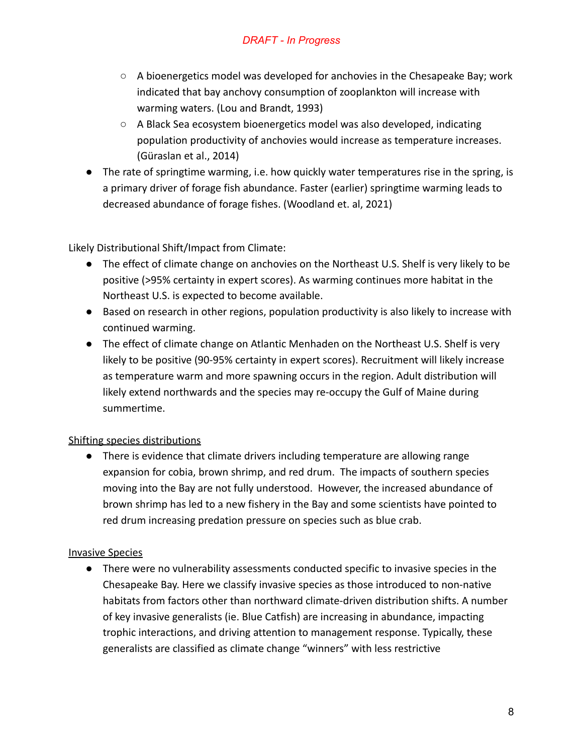- $\circ$  A bioenergetics model was developed for anchovies in the Chesapeake Bay; work indicated that bay anchovy consumption of zooplankton will increase with warming waters. (Lou and Brandt, 1993)
- A Black Sea ecosystem bioenergetics model was also developed, indicating population productivity of anchovies would increase as temperature increases. (Güraslan et al., 2014)
- The rate of springtime warming, i.e. how quickly water temperatures rise in the spring, is a primary driver of forage fish abundance. Faster (earlier) springtime warming leads to decreased abundance of forage fishes. (Woodland et. al, 2021)

Likely Distributional Shift/Impact from Climate:

- The effect of climate change on anchovies on the Northeast U.S. Shelf is very likely to be positive (>95% certainty in expert scores). As warming continues more habitat in the Northeast U.S. is expected to become available.
- Based on research in other regions, population productivity is also likely to increase with continued warming.
- The effect of climate change on Atlantic Menhaden on the Northeast U.S. Shelf is very likely to be positive (90-95% certainty in expert scores). Recruitment will likely increase as temperature warm and more spawning occurs in the region. Adult distribution will likely extend northwards and the species may re-occupy the Gulf of Maine during summertime.

## Shifting species distributions

● There is evidence that climate drivers including temperature are allowing range expansion for cobia, brown shrimp, and red drum. The impacts of southern species moving into the Bay are not fully understood. However, the increased abundance of brown shrimp has led to a new fishery in the Bay and some scientists have pointed to red drum increasing predation pressure on species such as blue crab.

# Invasive Species

● There were no vulnerability assessments conducted specific to invasive species in the Chesapeake Bay. Here we classify invasive species as those introduced to non-native habitats from factors other than northward climate-driven distribution shifts. A number of key invasive generalists (ie. Blue Catfish) are increasing in abundance, impacting trophic interactions, and driving attention to management response. Typically, these generalists are classified as climate change "winners" with less restrictive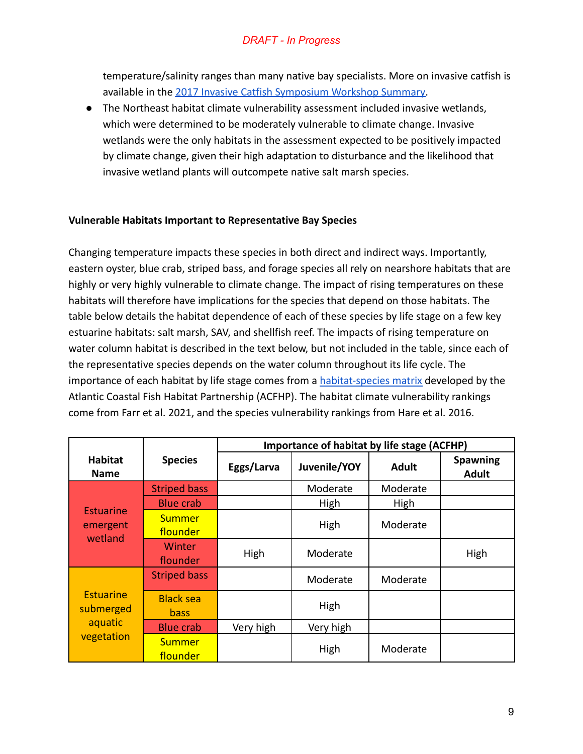temperature/salinity ranges than many native bay specialists. More on invasive catfish is available in the [2017 Invasive Catfish Symposium Workshop](https://www.chesapeakebay.net/documents/workshop_catfish_report_final_pdf.pdf) Summary.

● The Northeast habitat climate vulnerability assessment included invasive wetlands, which were determined to be moderately vulnerable to climate change. Invasive wetlands were the only habitats in the assessment expected to be positively impacted by climate change, given their high adaptation to disturbance and the likelihood that invasive wetland plants will outcompete native salt marsh species.

#### **Vulnerable Habitats Important to Representative Bay Species**

Changing temperature impacts these species in both direct and indirect ways. Importantly, eastern oyster, blue crab, striped bass, and forage species all rely on nearshore habitats that are highly or very highly vulnerable to climate change. The impact of rising temperatures on these habitats will therefore have implications for the species that depend on those habitats. The table below details the habitat dependence of each of these species by life stage on a few key estuarine habitats: salt marsh, SAV, and shellfish reef. The impacts of rising temperature on water column habitat is described in the text below, but not included in the table, since each of the representative species depends on the water column throughout its life cycle. The importance of each habitat by life stage comes from a [habitat-species matrix](https://www.atlanticfishhabitat.org/species-habitat-matrix/) developed by the Atlantic Coastal Fish Habitat Partnership (ACFHP). The habitat climate vulnerability rankings come from Farr et al. 2021, and the species vulnerability rankings from Hare et al. 2016.

|                                                        | <b>Species</b>            | Importance of habitat by life stage (ACFHP) |              |              |                                 |  |
|--------------------------------------------------------|---------------------------|---------------------------------------------|--------------|--------------|---------------------------------|--|
| <b>Habitat</b><br><b>Name</b>                          |                           | Eggs/Larva                                  | Juvenile/YOY | <b>Adult</b> | <b>Spawning</b><br><b>Adult</b> |  |
| <b>Estuarine</b><br>emergent<br>wetland                | <b>Striped bass</b>       |                                             | Moderate     | Moderate     |                                 |  |
|                                                        | <b>Blue crab</b>          |                                             | High         | <b>High</b>  |                                 |  |
|                                                        | <b>Summer</b><br>flounder |                                             | High         | Moderate     |                                 |  |
|                                                        | Winter<br>flounder        | High                                        | Moderate     |              | High                            |  |
| <b>Estuarine</b><br>submerged<br>aquatic<br>vegetation | <b>Striped bass</b>       |                                             | Moderate     | Moderate     |                                 |  |
|                                                        | <b>Black sea</b><br>bass  |                                             | High         |              |                                 |  |
|                                                        | <b>Blue crab</b>          | Very high                                   | Very high    |              |                                 |  |
|                                                        | <b>Summer</b><br>flounder |                                             | High         | Moderate     |                                 |  |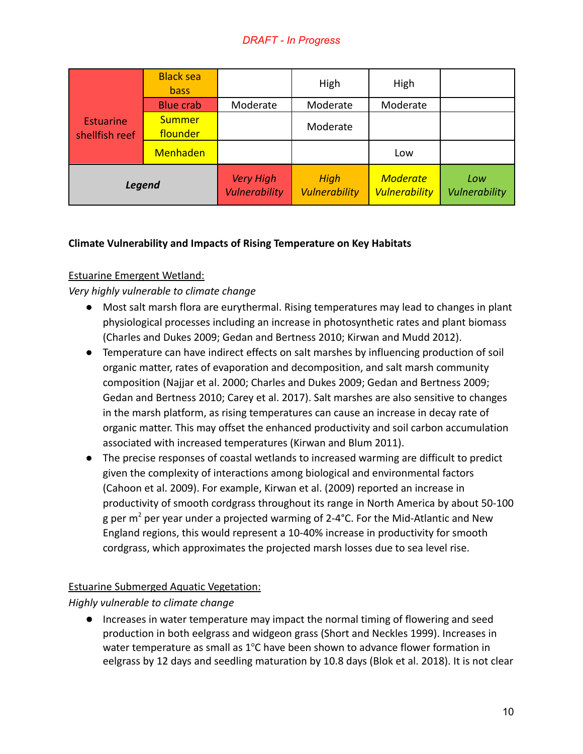|                                    | <b>Black sea</b><br><b>bass</b> |                                          | High                         | High                                    |                      |
|------------------------------------|---------------------------------|------------------------------------------|------------------------------|-----------------------------------------|----------------------|
| <b>Estuarine</b><br>shellfish reef | <b>Blue crab</b>                | Moderate                                 | Moderate                     | Moderate                                |                      |
|                                    | <b>Summer</b><br>flounder       |                                          | Moderate                     |                                         |                      |
|                                    | <b>Menhaden</b>                 |                                          |                              | Low                                     |                      |
| <b>Legend</b>                      |                                 | <b>Very High</b><br><b>Vulnerability</b> | High<br><b>Vulnerability</b> | <b>Moderate</b><br><b>Vulnerability</b> | Low<br>Vulnerability |

# **Climate Vulnerability and Impacts of Rising Temperature on Key Habitats**

## Estuarine Emergent Wetland:

# *Very highly vulnerable to climate change*

- Most salt marsh flora are eurythermal. Rising temperatures may lead to changes in plant physiological processes including an increase in photosynthetic rates and plant biomass (Charles and Dukes 2009; Gedan and Bertness 2010; Kirwan and Mudd 2012).
- Temperature can have indirect effects on salt marshes by influencing production of soil organic matter, rates of evaporation and decomposition, and salt marsh community composition (Najjar et al. 2000; Charles and Dukes 2009; Gedan and Bertness 2009; Gedan and Bertness 2010; Carey et al. 2017). Salt marshes are also sensitive to changes in the marsh platform, as rising temperatures can cause an increase in decay rate of organic matter. This may offset the enhanced productivity and soil carbon accumulation associated with increased temperatures (Kirwan and Blum 2011).
- The precise responses of coastal wetlands to increased warming are difficult to predict given the complexity of interactions among biological and environmental factors (Cahoon et al. 2009). For example, Kirwan et al. (2009) reported an increase in productivity of smooth cordgrass throughout its range in North America by about 50-100 g per  $m^2$  per year under a projected warming of 2-4°C. For the Mid-Atlantic and New England regions, this would represent a 10-40% increase in productivity for smooth cordgrass, which approximates the projected marsh losses due to sea level rise.

## Estuarine Submerged Aquatic Vegetation:

## *Highly vulnerable to climate change*

● Increases in water temperature may impact the normal timing of flowering and seed production in both eelgrass and widgeon grass (Short and Neckles 1999). Increases in water temperature as small as  $1^{\circ}$ C have been shown to advance flower formation in eelgrass by 12 days and seedling maturation by 10.8 days (Blok et al. 2018). It is not clear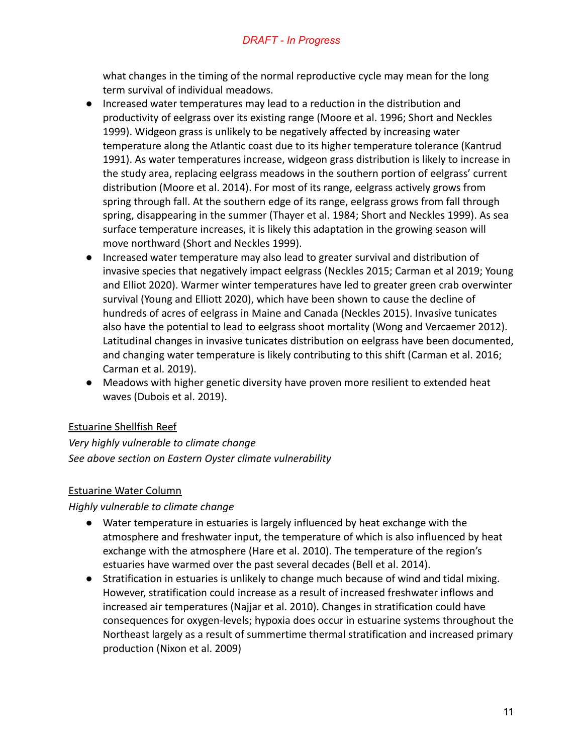what changes in the timing of the normal reproductive cycle may mean for the long term survival of individual meadows.

- Increased water temperatures may lead to a reduction in the distribution and productivity of eelgrass over its existing range (Moore et al. 1996; Short and Neckles 1999). Widgeon grass is unlikely to be negatively affected by increasing water temperature along the Atlantic coast due to its higher temperature tolerance (Kantrud 1991). As water temperatures increase, widgeon grass distribution is likely to increase in the study area, replacing eelgrass meadows in the southern portion of eelgrass' current distribution (Moore et al. 2014). For most of its range, eelgrass actively grows from spring through fall. At the southern edge of its range, eelgrass grows from fall through spring, disappearing in the summer (Thayer et al. 1984; Short and Neckles 1999). As sea surface temperature increases, it is likely this adaptation in the growing season will move northward (Short and Neckles 1999).
- Increased water temperature may also lead to greater survival and distribution of invasive species that negatively impact eelgrass (Neckles 2015; Carman et al 2019; Young and Elliot 2020). Warmer winter temperatures have led to greater green crab overwinter survival (Young and Elliott 2020), which have been shown to cause the decline of hundreds of acres of eelgrass in Maine and Canada (Neckles 2015). Invasive tunicates also have the potential to lead to eelgrass shoot mortality (Wong and Vercaemer 2012). Latitudinal changes in invasive tunicates distribution on eelgrass have been documented, and changing water temperature is likely contributing to this shift (Carman et al. 2016; Carman et al. 2019).
- Meadows with higher genetic diversity have proven more resilient to extended heat waves (Dubois et al. 2019).

## Estuarine Shellfish Reef

*Very highly vulnerable to climate change See above section on Eastern Oyster climate vulnerability*

## Estuarine Water Column

*Highly vulnerable to climate change*

- Water temperature in estuaries is largely influenced by heat exchange with the atmosphere and freshwater input, the temperature of which is also influenced by heat exchange with the atmosphere (Hare et al. 2010). The temperature of the region's estuaries have warmed over the past several decades (Bell et al. 2014).
- Stratification in estuaries is unlikely to change much because of wind and tidal mixing. However, stratification could increase as a result of increased freshwater inflows and increased air temperatures (Najjar et al. 2010). Changes in stratification could have consequences for oxygen-levels; hypoxia does occur in estuarine systems throughout the Northeast largely as a result of summertime thermal stratification and increased primary production (Nixon et al. 2009)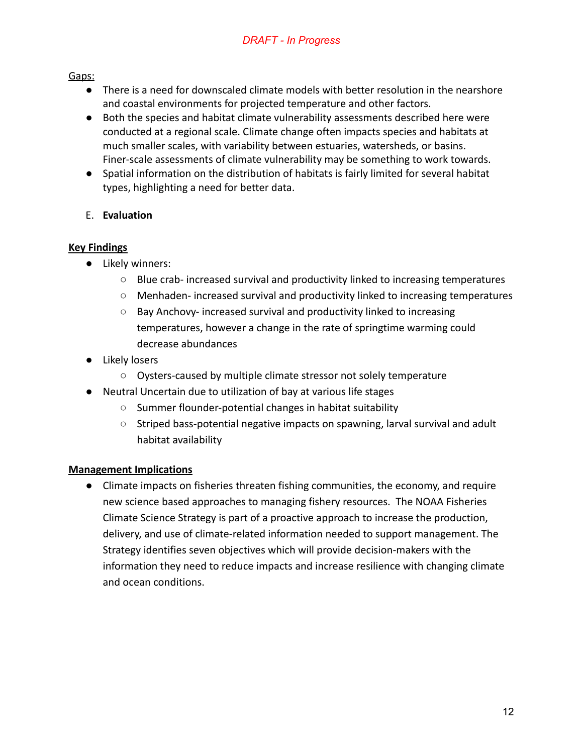#### Gaps:

- There is a need for downscaled climate models with better resolution in the nearshore and coastal environments for projected temperature and other factors.
- Both the species and habitat climate vulnerability assessments described here were conducted at a regional scale. Climate change often impacts species and habitats at much smaller scales, with variability between estuaries, watersheds, or basins. Finer-scale assessments of climate vulnerability may be something to work towards.
- Spatial information on the distribution of habitats is fairly limited for several habitat types, highlighting a need for better data.

## E. **Evaluation**

# **Key Findings**

- Likely winners:
	- Blue crab- increased survival and productivity linked to increasing temperatures
	- Menhaden- increased survival and productivity linked to increasing temperatures
	- Bay Anchovy- increased survival and productivity linked to increasing temperatures, however a change in the rate of springtime warming could decrease abundances
- Likely losers
	- Oysters-caused by multiple climate stressor not solely temperature
- Neutral Uncertain due to utilization of bay at various life stages
	- Summer flounder-potential changes in habitat suitability
	- Striped bass-potential negative impacts on spawning, larval survival and adult habitat availability

## **Management Implications**

● Climate impacts on fisheries threaten fishing communities, the economy, and require new science based approaches to managing fishery resources. The NOAA Fisheries Climate Science Strategy is part of a proactive approach to increase the production, delivery, and use of climate-related information needed to support management. The Strategy identifies seven objectives which will provide decision-makers with the information they need to reduce impacts and increase resilience with changing climate and ocean conditions.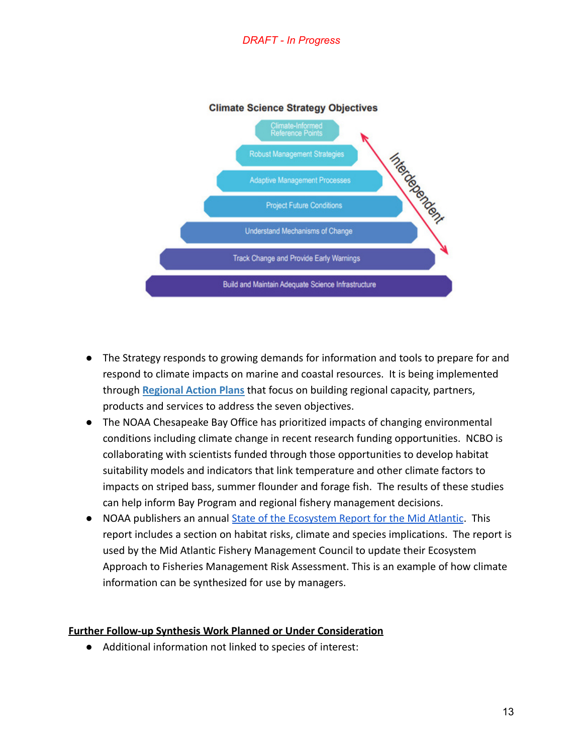

#### **Climate Science Strategy Objectives**

- The Strategy responds to growing demands for information and tools to prepare for and respond to climate impacts on marine and coastal resources. It is being implemented through **[Regional Action Plans](https://www.fisheries.noaa.gov/national/climate/climate-science-strategy-regional-action-plans)** that focus on building regional capacity, partners, products and services to address the seven objectives.
- The NOAA Chesapeake Bay Office has prioritized impacts of changing environmental conditions including climate change in recent research funding opportunities. NCBO is collaborating with scientists funded through those opportunities to develop habitat suitability models and indicators that link temperature and other climate factors to impacts on striped bass, summer flounder and forage fish. The results of these studies can help inform Bay Program and regional fishery management decisions.
- NOAA publishers an annual [State of the Ecosystem Report](https://apps-nefsc.fisheries.noaa.gov/rcb/publications/soe/SOE_MAFMC_2021_Final-revised.pdf) for the Mid Atlantic. This report includes a section on habitat risks, climate and species implications. The report is used by the Mid Atlantic Fishery Management Council to update their Ecosystem Approach to Fisheries Management Risk Assessment. This is an example of how climate information can be synthesized for use by managers.

#### **Further Follow-up Synthesis Work Planned or Under Consideration**

● Additional information not linked to species of interest: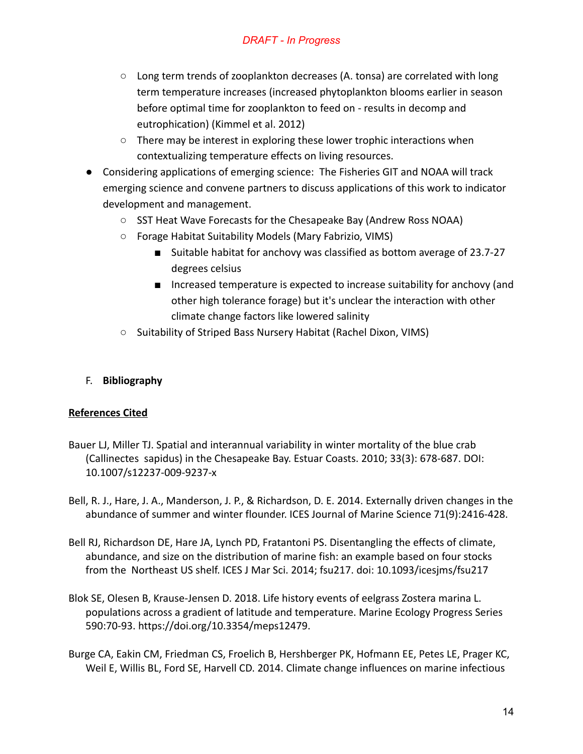- Long term trends of zooplankton decreases (A. tonsa) are correlated with long term temperature increases (increased phytoplankton blooms earlier in season before optimal time for zooplankton to feed on - results in decomp and eutrophication) (Kimmel et al. 2012)
- There may be interest in exploring these lower trophic interactions when contextualizing temperature effects on living resources.
- Considering applications of emerging science: The Fisheries GIT and NOAA will track emerging science and convene partners to discuss applications of this work to indicator development and management.
	- SST Heat Wave Forecasts for the Chesapeake Bay (Andrew Ross NOAA)
	- Forage Habitat Suitability Models (Mary Fabrizio, VIMS)
		- Suitable habitat for anchovy was classified as bottom average of 23.7-27 degrees celsius
		- Increased temperature is expected to increase suitability for anchovy (and other high tolerance forage) but it's unclear the interaction with other climate change factors like lowered salinity
	- Suitability of Striped Bass Nursery Habitat (Rachel Dixon, VIMS)

## F. **Bibliography**

## **References Cited**

- Bauer LJ, Miller TJ. Spatial and interannual variability in winter mortality of the blue crab (Callinectes sapidus) in the Chesapeake Bay. Estuar Coasts. 2010; 33(3): 678-687. DOI: 10.1007/s12237-009-9237-x
- Bell, R. J., Hare, J. A., Manderson, J. P., & Richardson, D. E. 2014. Externally driven changes in the abundance of summer and winter flounder. ICES Journal of Marine Science 71(9):2416-428.
- Bell RJ, Richardson DE, Hare JA, Lynch PD, Fratantoni PS. Disentangling the effects of climate, abundance, and size on the distribution of marine fish: an example based on four stocks from the Northeast US shelf. ICES J Mar Sci. 2014; fsu217. doi: 10.1093/icesjms/fsu217
- Blok SE, Olesen B, Krause-Jensen D. 2018. Life history events of eelgrass Zostera marina L. populations across a gradient of latitude and temperature. Marine Ecology Progress Series 590:70-93. <https://doi.org/10.3354/meps12479>.
- Burge CA, Eakin CM, Friedman CS, Froelich B, Hershberger PK, Hofmann EE, Petes LE, Prager KC, Weil E, Willis BL, Ford SE, Harvell CD. 2014. Climate change influences on marine infectious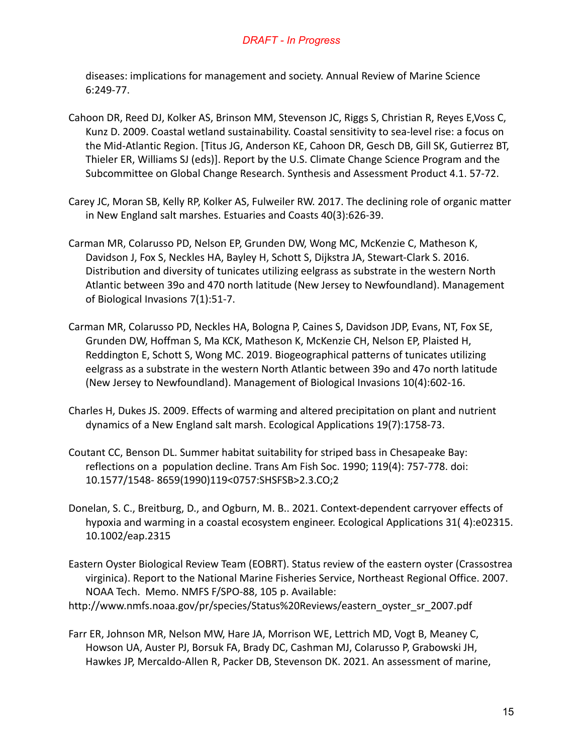diseases: implications for management and society. Annual Review of Marine Science 6:249-77.

- Cahoon DR, Reed DJ, Kolker AS, Brinson MM, Stevenson JC, Riggs S, Christian R, Reyes E,Voss C, Kunz D. 2009. Coastal wetland sustainability. Coastal sensitivity to sea-level rise: a focus on the Mid-Atlantic Region. [Titus JG, Anderson KE, Cahoon DR, Gesch DB, Gill SK, Gutierrez BT, Thieler ER, Williams SJ (eds)]. Report by the U.S. Climate Change Science Program and the Subcommittee on Global Change Research. Synthesis and Assessment Product 4.1. 57-72.
- Carey JC, Moran SB, Kelly RP, Kolker AS, Fulweiler RW. 2017. The declining role of organic matter in New England salt marshes. Estuaries and Coasts 40(3):626-39.
- Carman MR, Colarusso PD, Nelson EP, Grunden DW, Wong MC, McKenzie C, Matheson K, Davidson J, Fox S, Neckles HA, Bayley H, Schott S, Dijkstra JA, Stewart-Clark S. 2016. Distribution and diversity of tunicates utilizing eelgrass as substrate in the western North Atlantic between 39o and 470 north latitude (New Jersey to Newfoundland). Management of Biological Invasions 7(1):51-7.
- Carman MR, Colarusso PD, Neckles HA, Bologna P, Caines S, Davidson JDP, Evans, NT, Fox SE, Grunden DW, Hoffman S, Ma KCK, Matheson K, McKenzie CH, Nelson EP, Plaisted H, Reddington E, Schott S, Wong MC. 2019. Biogeographical patterns of tunicates utilizing eelgrass as a substrate in the western North Atlantic between 39o and 47o north latitude (New Jersey to Newfoundland). Management of Biological Invasions 10(4):602-16.
- Charles H, Dukes JS. 2009. Effects of warming and altered precipitation on plant and nutrient dynamics of a New England salt marsh. Ecological Applications 19(7):1758-73.
- Coutant CC, Benson DL. Summer habitat suitability for striped bass in Chesapeake Bay: reflections on a population decline. Trans Am Fish Soc. 1990; 119(4): 757-778. doi: 10.1577/1548- 8659(1990)119<0757:SHSFSB>2.3.CO;2
- Donelan, S. C., Breitburg, D., and Ogburn, M. B.. 2021. Context-dependent carryover effects of hypoxia and warming in a coastal ecosystem engineer. Ecological Applications 31( 4):e02315. 10.1002/eap.2315
- Eastern Oyster Biological Review Team (EOBRT). Status review of the eastern oyster (Crassostrea virginica). Report to the National Marine Fisheries Service, Northeast Regional Office. 2007. NOAA Tech. Memo. NMFS F/SPO-88, 105 p. Available:
- [http://www.nmfs.noaa.gov/pr/species/Status%20Reviews/eastern\\_oyster\\_sr\\_2007.pdf](http://www.nmfs.noaa.gov/pr/species/Status%20Reviews/eastern_oyster_sr_2007.pdf)
- Farr ER, Johnson MR, Nelson MW, Hare JA, Morrison WE, Lettrich MD, Vogt B, Meaney C, Howson UA, Auster PJ, Borsuk FA, Brady DC, Cashman MJ, Colarusso P, Grabowski JH, Hawkes JP, Mercaldo-Allen R, Packer DB, Stevenson DK. 2021. An assessment of marine,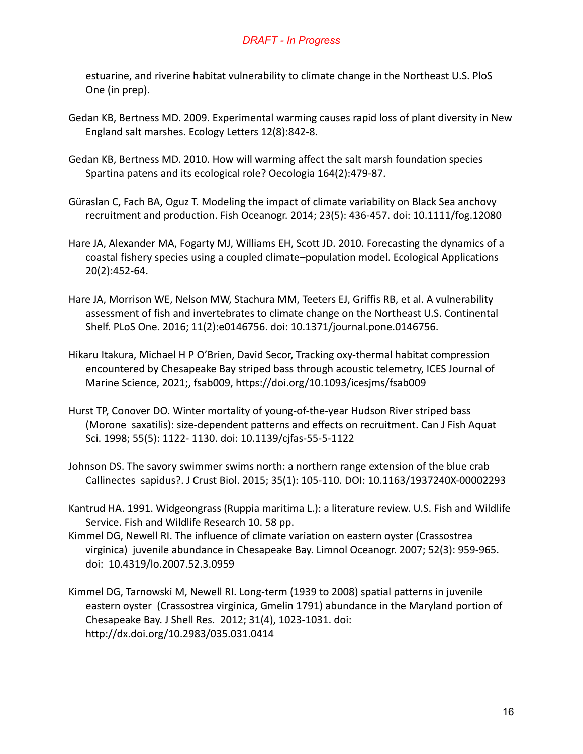estuarine, and riverine habitat vulnerability to climate change in the Northeast U.S. PloS One (in prep).

- Gedan KB, Bertness MD. 2009. Experimental warming causes rapid loss of plant diversity in New England salt marshes. Ecology Letters 12(8):842-8.
- Gedan KB, Bertness MD. 2010. How will warming affect the salt marsh foundation species Spartina patens and its ecological role? Oecologia 164(2):479-87.
- Güraslan C, Fach BA, Oguz T. Modeling the impact of climate variability on Black Sea anchovy recruitment and production. Fish Oceanogr. 2014; 23(5): 436-457. doi: 10.1111/fog.12080
- Hare JA, Alexander MA, Fogarty MJ, Williams EH, Scott JD. 2010. Forecasting the dynamics of a coastal fishery species using a coupled climate–population model. Ecological Applications 20(2):452-64.
- Hare JA, Morrison WE, Nelson MW, Stachura MM, Teeters EJ, Griffis RB, et al. A vulnerability assessment of fish and invertebrates to climate change on the Northeast U.S. Continental Shelf. PLoS One. 2016; 11(2):e0146756. doi: 10.1371/journal.pone.0146756.
- Hikaru Itakura, Michael H P O'Brien, David Secor, Tracking oxy-thermal habitat compression encountered by Chesapeake Bay striped bass through acoustic telemetry, ICES Journal of Marine Science, 2021;, fsab009, <https://doi.org/10.1093/icesjms/fsab009>
- Hurst TP, Conover DO. Winter mortality of young-of-the-year Hudson River striped bass (Morone saxatilis): size-dependent patterns and effects on recruitment. Can J Fish Aquat Sci. 1998; 55(5): 1122- 1130. doi: 10.1139/cjfas-55-5-1122
- Johnson DS. The savory swimmer swims north: a northern range extension of the blue crab Callinectes sapidus?. J Crust Biol. 2015; 35(1): 105-110. DOI: 10.1163/1937240X-00002293
- Kantrud HA. 1991. Widgeongrass (Ruppia maritima L.): a literature review. U.S. Fish and Wildlife Service. Fish and Wildlife Research 10. 58 pp.
- Kimmel DG, Newell RI. The influence of climate variation on eastern oyster (Crassostrea virginica) juvenile abundance in Chesapeake Bay. Limnol Oceanogr. 2007; 52(3): 959-965. doi: 10.4319/lo.2007.52.3.0959
- Kimmel DG, Tarnowski M, Newell RI. Long-term (1939 to 2008) spatial patterns in juvenile eastern oyster (Crassostrea virginica, Gmelin 1791) abundance in the Maryland portion of Chesapeake Bay. J Shell Res. 2012; 31(4), 1023-1031. doi: http://dx.doi.org/10.2983/035.031.0414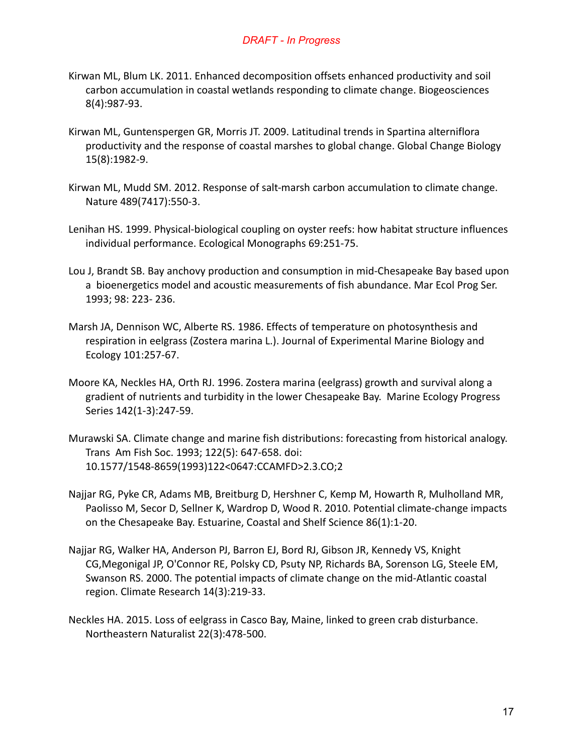- Kirwan ML, Blum LK. 2011. Enhanced decomposition offsets enhanced productivity and soil carbon accumulation in coastal wetlands responding to climate change. Biogeosciences 8(4):987-93.
- Kirwan ML, Guntenspergen GR, Morris JT. 2009. Latitudinal trends in Spartina alterniflora productivity and the response of coastal marshes to global change. Global Change Biology 15(8):1982-9.
- Kirwan ML, Mudd SM. 2012. Response of salt-marsh carbon accumulation to climate change. Nature 489(7417):550-3.
- Lenihan HS. 1999. Physical-biological coupling on oyster reefs: how habitat structure influences individual performance. Ecological Monographs 69:251-75.
- Lou J, Brandt SB. Bay anchovy production and consumption in mid-Chesapeake Bay based upon a bioenergetics model and acoustic measurements of fish abundance. Mar Ecol Prog Ser. 1993; 98: 223- 236.
- Marsh JA, Dennison WC, Alberte RS. 1986. Effects of temperature on photosynthesis and respiration in eelgrass (Zostera marina L.). Journal of Experimental Marine Biology and Ecology 101:257-67.
- Moore KA, Neckles HA, Orth RJ. 1996. Zostera marina (eelgrass) growth and survival along a gradient of nutrients and turbidity in the lower Chesapeake Bay. Marine Ecology Progress Series 142(1-3):247-59.
- Murawski SA. Climate change and marine fish distributions: forecasting from historical analogy. Trans Am Fish Soc. 1993; 122(5): 647-658. doi: 10.1577/1548-8659(1993)122<0647:CCAMFD>2.3.CO;2
- Najjar RG, Pyke CR, Adams MB, Breitburg D, Hershner C, Kemp M, Howarth R, Mulholland MR, Paolisso M, Secor D, Sellner K, Wardrop D, Wood R. 2010. Potential climate-change impacts on the Chesapeake Bay. Estuarine, Coastal and Shelf Science 86(1):1-20.
- Najjar RG, Walker HA, Anderson PJ, Barron EJ, Bord RJ, Gibson JR, Kennedy VS, Knight CG,Megonigal JP, O'Connor RE, Polsky CD, Psuty NP, Richards BA, Sorenson LG, Steele EM, Swanson RS. 2000. The potential impacts of climate change on the mid-Atlantic coastal region. Climate Research 14(3):219-33.
- Neckles HA. 2015. Loss of eelgrass in Casco Bay, Maine, linked to green crab disturbance. Northeastern Naturalist 22(3):478-500.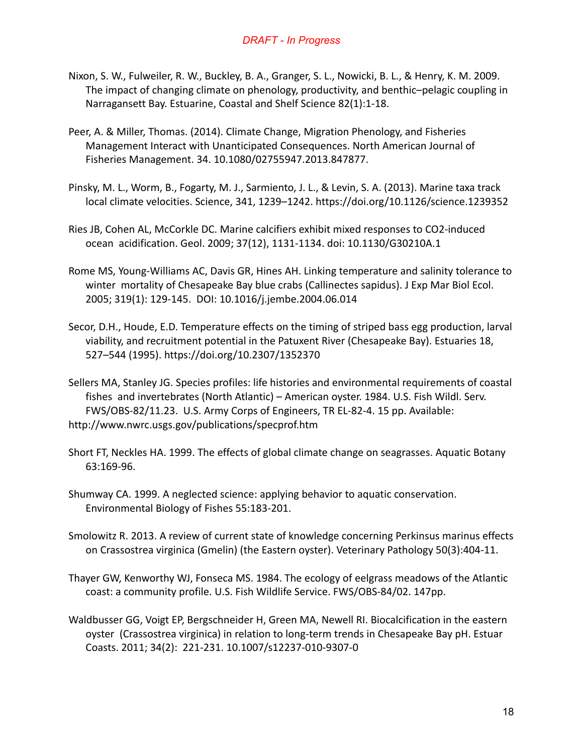- Nixon, S. W., Fulweiler, R. W., Buckley, B. A., Granger, S. L., Nowicki, B. L., & Henry, K. M. 2009. The impact of changing climate on phenology, productivity, and benthic–pelagic coupling in Narragansett Bay. Estuarine, Coastal and Shelf Science 82(1):1-18.
- Peer, A. & Miller, Thomas. (2014). Climate Change, Migration Phenology, and Fisheries Management Interact with Unanticipated Consequences. North American Journal of Fisheries Management. 34. 10.1080/02755947.2013.847877.
- Pinsky, M. L., Worm, B., Fogarty, M. J., Sarmiento, J. L., & Levin, S. A. (2013). Marine taxa track local climate velocities. Science, 341, 1239–1242. <https://doi.org/10.1126/science.1239352>
- Ries JB, Cohen AL, McCorkle DC. Marine calcifiers exhibit mixed responses to CO2-induced ocean acidification. Geol. 2009; 37(12), 1131-1134. doi: 10.1130/G30210A.1
- Rome MS, Young-Williams AC, Davis GR, Hines AH. Linking temperature and salinity tolerance to winter mortality of Chesapeake Bay blue crabs (Callinectes sapidus). J Exp Mar Biol Ecol. 2005; 319(1): 129-145. DOI: 10.1016/j.jembe.2004.06.014
- Secor, D.H., Houde, E.D. Temperature effects on the timing of striped bass egg production, larval viability, and recruitment potential in the Patuxent River (Chesapeake Bay). Estuaries 18, 527–544 (1995). https://doi.org/10.2307/1352370
- Sellers MA, Stanley JG. Species profiles: life histories and environmental requirements of coastal fishes and invertebrates (North Atlantic) – American oyster. 1984. U.S. Fish Wildl. Serv. FWS/OBS-82/11.23. U.S. Army Corps of Engineers, TR EL-82-4. 15 pp. Available: http://www.nwrc.usgs.gov/publications/specprof.htm
- Short FT, Neckles HA. 1999. The effects of global climate change on seagrasses. Aquatic Botany 63:169-96.
- Shumway CA. 1999. A neglected science: applying behavior to aquatic conservation. Environmental Biology of Fishes 55:183-201.
- Smolowitz R. 2013. A review of current state of knowledge concerning Perkinsus marinus effects on Crassostrea virginica (Gmelin) (the Eastern oyster). Veterinary Pathology 50(3):404-11.
- Thayer GW, Kenworthy WJ, Fonseca MS. 1984. The ecology of eelgrass meadows of the Atlantic coast: a community profile. U.S. Fish Wildlife Service. FWS/OBS-84/02. 147pp.
- Waldbusser GG, Voigt EP, Bergschneider H, Green MA, Newell RI. Biocalcification in the eastern oyster (Crassostrea virginica) in relation to long-term trends in Chesapeake Bay pH. Estuar Coasts. 2011; 34(2): 221-231. 10.1007/s12237-010-9307-0